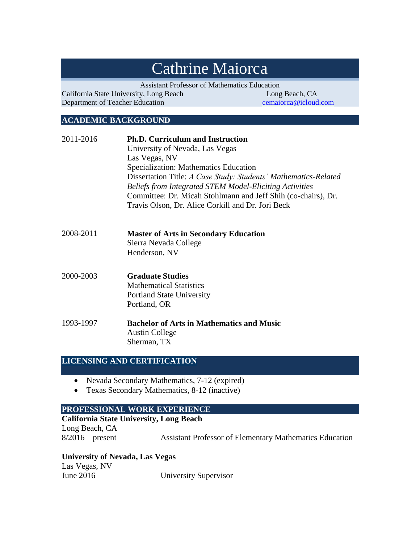# Cathrine Maiorca

Assistant Professor of Mathematics Education

California State University, Long Beach Long Beach, CA Department of Teacher Education [cemaiorca@icloud.com](mailto:cemaiorca@icloud.com)

# **ACADEMIC BACKGROUND**

| 2011-2016 | <b>Ph.D. Curriculum and Instruction</b><br>University of Nevada, Las Vegas<br>Las Vegas, NV<br>Specialization: Mathematics Education<br>Dissertation Title: A Case Study: Students' Mathematics-Related<br><b>Beliefs from Integrated STEM Model-Eliciting Activities</b><br>Committee: Dr. Micah Stohlmann and Jeff Shih (co-chairs), Dr.<br>Travis Olson, Dr. Alice Corkill and Dr. Jori Beck |
|-----------|-------------------------------------------------------------------------------------------------------------------------------------------------------------------------------------------------------------------------------------------------------------------------------------------------------------------------------------------------------------------------------------------------|
| 2008-2011 | <b>Master of Arts in Secondary Education</b><br>Sierra Nevada College                                                                                                                                                                                                                                                                                                                           |

Henderson, NV

- 2000-2003 **Graduate Studies**  Mathematical Statistics Portland State University Portland, OR
- 1993-1997 **Bachelor of Arts in Mathematics and Music**  Austin College Sherman, TX

# **LICENSING AND CERTIFICATION**

- Nevada Secondary Mathematics, 7-12 (expired)
- Texas Secondary Mathematics, 8-12 (inactive)

#### **PROFESSIONAL WORK EXPERIENCE**

#### **California State University, Long Beach**

Long Beach, CA

8/2016 – present Assistant Professor of Elementary Mathematics Education

#### **University of Nevada, Las Vegas**

Las Vegas, NV **University Supervisor**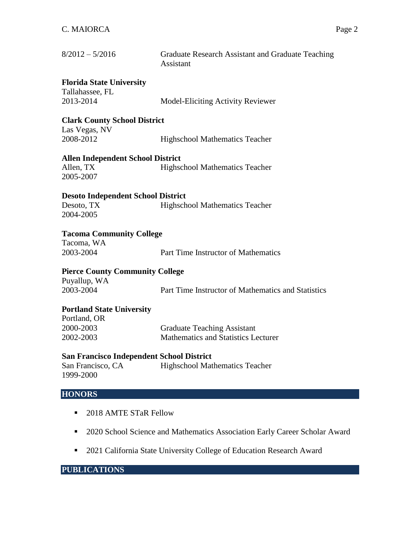| $8/2012 - 5/2016$                                                    | Graduate Research Assistant and Graduate Teaching<br>Assistant |
|----------------------------------------------------------------------|----------------------------------------------------------------|
| <b>Florida State University</b><br>Tallahassee, FL<br>2013-2014      | <b>Model-Eliciting Activity Reviewer</b>                       |
| <b>Clark County School District</b>                                  |                                                                |
| Las Vegas, NV<br>2008-2012                                           | <b>Highschool Mathematics Teacher</b>                          |
| <b>Allen Independent School District</b>                             |                                                                |
| Allen, TX<br>2005-2007                                               | Highschool Mathematics Teacher                                 |
| <b>Desoto Independent School District</b><br>Desoto, TX<br>2004-2005 | <b>Highschool Mathematics Teacher</b>                          |
| <b>Tacoma Community College</b>                                      |                                                                |
| Tacoma, WA<br>2003-2004                                              | Part Time Instructor of Mathematics                            |
| <b>Pierce County Community College</b>                               |                                                                |
| Puyallup, WA<br>2003-2004                                            | Part Time Instructor of Mathematics and Statistics             |
| <b>Portland State University</b><br>Portland, OR                     |                                                                |
| 2000-2003                                                            | <b>Graduate Teaching Assistant</b>                             |
| 2002-2003                                                            | <b>Mathematics and Statistics Lecturer</b>                     |
| <b>San Francisco Independent School District</b>                     |                                                                |
| San Francisco, CA<br>1999-2000                                       | Highschool Mathematics Teacher                                 |

# **HONORS**

- 2018 AMTE STaR Fellow
- <sup>2020</sup> School Science and Mathematics Association Early Career Scholar Award
- 2021 California State University College of Education Research Award

# **PUBLICATIONS**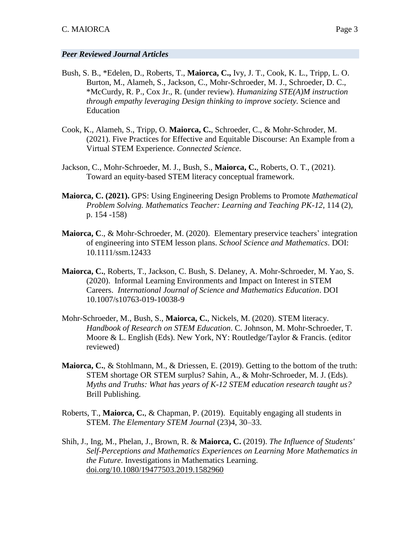#### *Peer Reviewed Journal Articles*

- Bush, S. B., \*Edelen, D., Roberts, T., **Maiorca, C.,** Ivy, J. T., Cook, K. L., Tripp, L. O. Burton, M., Alameh, S., Jackson, C., Mohr-Schroeder, M. J., Schroeder, D. C., \*McCurdy, R. P., Cox Jr., R. (under review). *Humanizing STE(A)M instruction through empathy leveraging Design thinking to improve society.* Science and Education
- Cook, K., Alameh, S., Tripp, O. **Maiorca, C.**, Schroeder, C., & Mohr-Schroder, M. (2021). Five Practices for Effective and Equitable Discourse: An Example from a Virtual STEM Experience. *Connected Science*.
- Jackson, C., Mohr-Schroeder, M. J., Bush, S., **Maiorca, C.**, Roberts, O. T., (2021). Toward an equity-based STEM literacy conceptual framework.
- **Maiorca, C. (2021).** GPS: Using Engineering Design Problems to Promote *Mathematical Problem Solving. Mathematics Teacher: Learning and Teaching PK-12*, 114 (2), p. 154 -158)
- **Maiorca, C**., & Mohr-Schroeder, M. (2020). Elementary preservice teachers' integration of engineering into STEM lesson plans. *School Science and Mathematics*. DOI: 10.1111/ssm.12433
- **Maiorca, C.**, Roberts, T., Jackson, C. Bush, S. Delaney, A. Mohr-Schroeder, M. Yao, S. (2020). Informal Learning Environments and Impact on Interest in STEM Careers. *International Journal of Science and Mathematics Education*. DOI 10.1007/s10763-019-10038-9
- Mohr-Schroeder, M., Bush, S., **Maiorca, C.**, Nickels, M. (2020). STEM literacy. *Handbook of Research on STEM Education*. C. Johnson, M. Mohr-Schroeder, T. Moore & L. English (Eds). New York, NY: Routledge/Taylor & Francis. (editor reviewed)
- **Maiorca, C.**, & Stohlmann, M., & Driessen, E. (2019). Getting to the bottom of the truth: STEM shortage OR STEM surplus? Sahin, A., & Mohr-Schroeder, M. J. (Eds). *Myths and Truths: What has years of K-12 STEM education research taught us?* Brill Publishing.
- Roberts, T., **Maiorca, C.**, & Chapman, P. (2019). Equitably engaging all students in STEM. *The Elementary STEM Journal* (23)4, 30–33.
- Shih, J., Ing, M., Phelan, J., Brown, R. & **Maiorca, C.** (2019). *The Influence of Students' Self-Perceptions and Mathematics Experiences on Learning More Mathematics in the Future*. Investigations in Mathematics Learning. [doi.org/10.1080/19477503.2019.1582960](https://doi.org/10.1080/19477503.2019.1582960)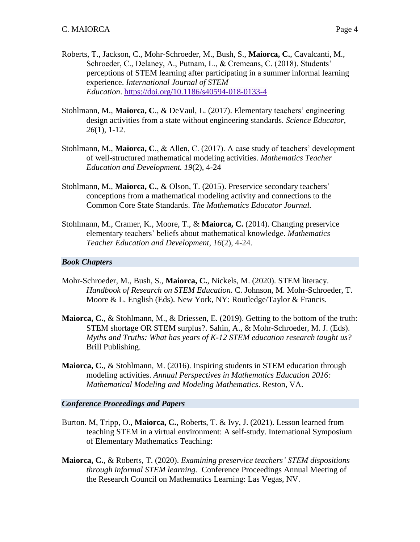- Roberts, T., Jackson, C., Mohr-Schroeder, M., Bush, S., **Maiorca, C.**, Cavalcanti, M., Schroeder, C., Delaney, A., Putnam, L., & Cremeans, C. (2018). Students' perceptions of STEM learning after participating in a summer informal learning experience. *International Journal of STEM Education*. <https://doi.org/10.1186/s40594-018-0133-4>
- Stohlmann, M., **Maiorca, C**., & DeVaul, L. (2017). Elementary teachers' engineering design activities from a state without engineering standards. *Science Educator, 26*(1), 1-12.
- Stohlmann, M., **Maiorca, C**., & Allen, C. (2017). A case study of teachers' development of well-structured mathematical modeling activities. *Mathematics Teacher Education and Development. 19*(2), 4-24
- Stohlmann, M., **Maiorca, C.**, & Olson, T. (2015). Preservice secondary teachers' conceptions from a mathematical modeling activity and connections to the Common Core State Standards. *The Mathematics Educator Journal.*
- Stohlmann, M., Cramer, K., Moore, T., & **Maiorca, C.** (2014). Changing preservice elementary teachers' beliefs about mathematical knowledge. *Mathematics Teacher Education and Development*, *16*(2), 4-24.

#### *Book Chapters*

- Mohr-Schroeder, M., Bush, S., **Maiorca, C.**, Nickels, M. (2020). STEM literacy. *Handbook of Research on STEM Education*. C. Johnson, M. Mohr-Schroeder, T. Moore & L. English (Eds). New York, NY: Routledge/Taylor & Francis.
- **Maiorca, C.**, & Stohlmann, M., & Driessen, E. (2019). Getting to the bottom of the truth: STEM shortage OR STEM surplus?. Sahin, A., & Mohr-Schroeder, M. J. (Eds). *Myths and Truths: What has years of K-12 STEM education research taught us?* Brill Publishing.
- **Maiorca, C.**, & Stohlmann, M. (2016). Inspiring students in STEM education through modeling activities. *Annual Perspectives in Mathematics Education 2016: Mathematical Modeling and Modeling Mathematics*. Reston, VA.

#### *Conference Proceedings and Papers*

- Burton. M, Tripp, O., **Maiorca, C.**, Roberts, T. & Ivy, J. (2021). Lesson learned from teaching STEM in a virtual environment: A self-study. International Symposium of Elementary Mathematics Teaching:
- **Maiorca, C.**, & Roberts, T. (2020). *Examining preservice teachers' STEM dispositions through informal STEM learning.* Conference Proceedings Annual Meeting of the Research Council on Mathematics Learning: Las Vegas, NV.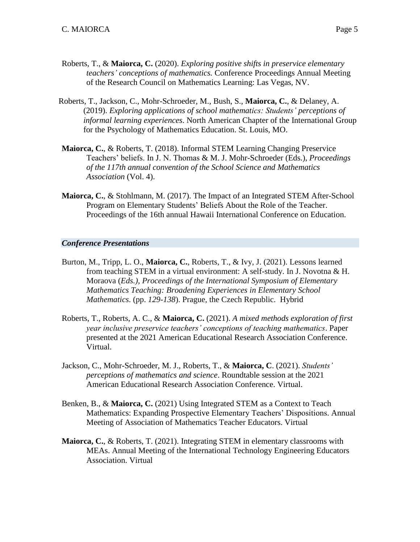- Roberts, T., & **Maiorca, C.** (2020). *Exploring positive shifts in preservice elementary teachers' conceptions of mathematics.* Conference Proceedings Annual Meeting of the Research Council on Mathematics Learning: Las Vegas, NV.
- Roberts, T., Jackson, C., Mohr-Schroeder, M., Bush, S., **Maiorca, C.**, & Delaney, A. (2019). *Exploring applications of school mathematics: Students' perceptions of informal learning experiences*. North American Chapter of the International Group for the Psychology of Mathematics Education. St. Louis, MO.
- **Maiorca, C.**, & Roberts, T. (2018). Informal STEM Learning Changing Preservice Teachers' beliefs. In J. N. Thomas & M. J. Mohr-Schroeder (Eds.), *Proceedings of the 117th annual convention of the School Science and Mathematics Association* (Vol. 4).
- **Maiorca, C.**, & Stohlmann, M. (2017). The Impact of an Integrated STEM After-School Program on Elementary Students' Beliefs About the Role of the Teacher. Proceedings of the 16th annual Hawaii International Conference on Education.

#### *Conference Presentations*

- Burton, M., Tripp, L. O., **Maiorca, C.**, Roberts, T., & Ivy, J. (2021). Lessons learned from teaching STEM in a virtual environment: A self-study. In J. Novotna & H. Moraova (*Eds.), Proceedings of the International Symposium of Elementary Mathematics Teaching: Broadening Experiences in Elementary School Mathematics*. (pp. *129-138*). Prague, the Czech Republic. Hybrid
- Roberts, T., Roberts, A. C., & **Maiorca, C.** (2021). *A mixed methods exploration of first year inclusive preservice teachers' conceptions of teaching mathematics*. Paper presented at the 2021 American Educational Research Association Conference. Virtual.
- Jackson, C., Mohr-Schroeder, M. J., Roberts, T., & **Maiorca, C**. (2021). *Students' perceptions of mathematics and science*. Roundtable session at the 2021 American Educational Research Association Conference. Virtual.
- Benken, B., & **Maiorca, C.** (2021) Using Integrated STEM as a Context to Teach Mathematics: Expanding Prospective Elementary Teachers' Dispositions. Annual Meeting of Association of Mathematics Teacher Educators. Virtual
- **Maiorca, C.**, & Roberts, T. (2021). Integrating STEM in elementary classrooms with MEAs. Annual Meeting of the International Technology Engineering Educators Association. Virtual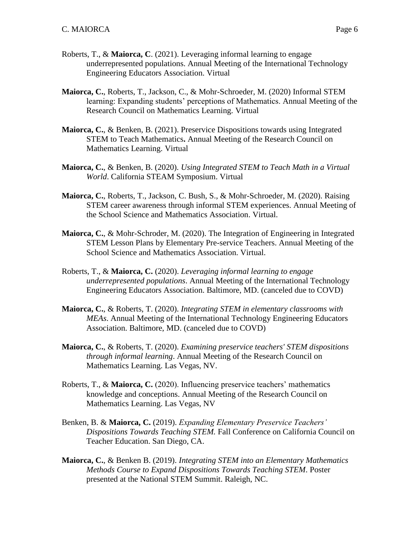- Roberts, T., & **Maiorca, C**. (2021). Leveraging informal learning to engage underrepresented populations. Annual Meeting of the International Technology Engineering Educators Association. Virtual
- **Maiorca, C.**, Roberts, T., Jackson, C., & Mohr-Schroeder, M. (2020) Informal STEM learning: Expanding students' perceptions of Mathematics. Annual Meeting of the Research Council on Mathematics Learning. Virtual
- **Maiorca, C.**, & Benken, B. (2021). Preservice Dispositions towards using Integrated STEM to Teach Mathematics**.** Annual Meeting of the Research Council on Mathematics Learning. Virtual
- **Maiorca, C.**, & Benken, B. (2020). *Using Integrated STEM to Teach Math in a Virtual World*. California STEAM Symposium. Virtual
- **Maiorca, C.**, Roberts, T., Jackson, C. Bush, S., & Mohr-Schroeder, M. (2020). Raising STEM career awareness through informal STEM experiences. Annual Meeting of the School Science and Mathematics Association. Virtual.
- **Maiorca, C.**, & Mohr-Schroder, M. (2020). The Integration of Engineering in Integrated STEM Lesson Plans by Elementary Pre-service Teachers. Annual Meeting of the School Science and Mathematics Association. Virtual.
- Roberts, T., & **Maiorca, C.** (2020). *Leveraging informal learning to engage underrepresented populations*. Annual Meeting of the International Technology Engineering Educators Association. Baltimore, MD. (canceled due to COVD)
- **Maiorca, C.**, & Roberts, T. (2020). *Integrating STEM in elementary classrooms with MEAs*. Annual Meeting of the International Technology Engineering Educators Association. Baltimore, MD. (canceled due to COVD)
- **Maiorca, C.**, & Roberts, T. (2020). *Examining preservice teachers' STEM dispositions through informal learning*. Annual Meeting of the Research Council on Mathematics Learning. Las Vegas, NV.
- Roberts, T., & **Maiorca, C.** (2020). Influencing preservice teachers' mathematics knowledge and conceptions. Annual Meeting of the Research Council on Mathematics Learning. Las Vegas, NV
- Benken, B. & **Maiorca, C.** (2019). *Expanding Elementary Preservice Teachers' Dispositions Towards Teaching STEM.* Fall Conference on California Council on Teacher Education. San Diego, CA.
- **Maiorca, C.**, & Benken B. (2019). *Integrating STEM into an Elementary Mathematics Methods Course to Expand Dispositions Towards Teaching STEM*. Poster presented at the National STEM Summit. Raleigh, NC.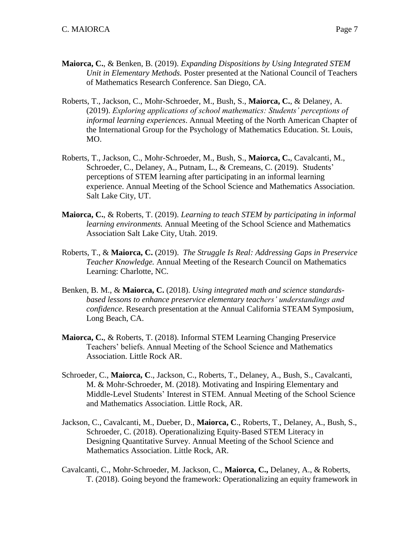- **Maiorca, C.**, & Benken, B. (2019). *Expanding Dispositions by Using Integrated STEM Unit in Elementary Methods.* Poster presented at the National Council of Teachers of Mathematics Research Conference. San Diego, CA.
- Roberts, T., Jackson, C., Mohr-Schroeder, M., Bush, S., **Maiorca, C.**, & Delaney, A. (2019). *Exploring applications of school mathematics: Students' perceptions of informal learning experiences*. Annual Meeting of the North American Chapter of the International Group for the Psychology of Mathematics Education. St. Louis, MO.
- Roberts, T., Jackson, C., Mohr-Schroeder, M., Bush, S., **Maiorca, C.**, Cavalcanti, M., Schroeder, C., Delaney, A., Putnam, L., & Cremeans, C. (2019). Students' perceptions of STEM learning after participating in an informal learning experience. Annual Meeting of the School Science and Mathematics Association. Salt Lake City, UT.
- **Maiorca, C.**, & Roberts, T. (2019). *Learning to teach STEM by participating in informal learning environments.* Annual Meeting of the School Science and Mathematics Association Salt Lake City, Utah. 2019.
- Roberts, T., & **Maiorca, C.** (2019). *The Struggle Is Real: Addressing Gaps in Preservice Teacher Knowledge.* Annual Meeting of the Research Council on Mathematics Learning: Charlotte, NC.
- Benken, B. M., & **Maiorca, C.** (2018). *Using integrated math and science standardsbased lessons to enhance preservice elementary teachers' understandings and confidence*. Research presentation at the Annual California STEAM Symposium, Long Beach, CA.
- **Maiorca, C.**, & Roberts, T. (2018). Informal STEM Learning Changing Preservice Teachers' beliefs. Annual Meeting of the School Science and Mathematics Association. Little Rock AR.
- Schroeder, C., **Maiorca, C**., Jackson, C., Roberts, T., Delaney, A., Bush, S., Cavalcanti, M. & Mohr-Schroeder, M. (2018). Motivating and Inspiring Elementary and Middle-Level Students' Interest in STEM. Annual Meeting of the School Science and Mathematics Association. Little Rock, AR.
- Jackson, C., Cavalcanti, M., Dueber, D., **Maiorca, C**., Roberts, T., Delaney, A., Bush, S., Schroeder, C. (2018). Operationalizing Equity-Based STEM Literacy in Designing Quantitative Survey. Annual Meeting of the School Science and Mathematics Association. Little Rock, AR.
- Cavalcanti, C., Mohr-Schroeder, M. Jackson, C., **Maiorca, C.,** Delaney, A., & Roberts, T. (2018). Going beyond the framework: Operationalizing an equity framework in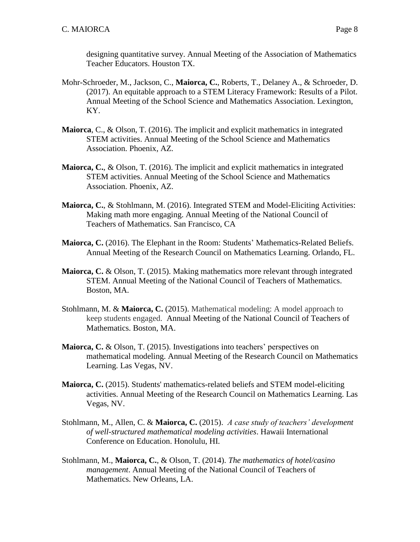designing quantitative survey. Annual Meeting of the Association of Mathematics Teacher Educators. Houston TX.

- Mohr-Schroeder, M., Jackson, C., **Maiorca, C.**, Roberts, T., Delaney A., & Schroeder, D. (2017). An equitable approach to a STEM Literacy Framework: Results of a Pilot. Annual Meeting of the School Science and Mathematics Association. Lexington, KY.
- **Maiorca**, C., & Olson, T. (2016). The implicit and explicit mathematics in integrated STEM activities. Annual Meeting of the School Science and Mathematics Association. Phoenix, AZ.
- **Maiorca, C.**, & Olson, T. (2016). The implicit and explicit mathematics in integrated STEM activities. Annual Meeting of the School Science and Mathematics Association. Phoenix, AZ.
- **Maiorca, C.**, & Stohlmann, M. (2016). Integrated STEM and Model-Eliciting Activities: Making math more engaging. Annual Meeting of the National Council of Teachers of Mathematics. San Francisco, CA
- **Maiorca, C.** (2016). The Elephant in the Room: Students' Mathematics-Related Beliefs. Annual Meeting of the Research Council on Mathematics Learning. Orlando, FL.
- **Maiorca, C.** & Olson, T. (2015). Making mathematics more relevant through integrated STEM. Annual Meeting of the National Council of Teachers of Mathematics. Boston, MA.
- Stohlmann, M. & **Maiorca, C.** (2015). Mathematical modeling: A model approach to keep students engaged. Annual Meeting of the National Council of Teachers of Mathematics. Boston, MA.
- **Maiorca, C.** & Olson, T. (2015). Investigations into teachers' perspectives on mathematical modeling. Annual Meeting of the Research Council on Mathematics Learning. Las Vegas, NV.
- **Maiorca, C.** (2015). Students' mathematics-related beliefs and STEM model-eliciting activities. Annual Meeting of the Research Council on Mathematics Learning. Las Vegas, NV.
- Stohlmann, M., Allen, C. & **Maiorca, C.** (2015). *A case study of teachers' development of well-structured mathematical modeling activities*. Hawaii International Conference on Education. Honolulu, HI.
- Stohlmann, M., **Maiorca, C.**, & Olson, T. (2014). *The mathematics of hotel/casino management*. Annual Meeting of the National Council of Teachers of Mathematics. New Orleans, LA.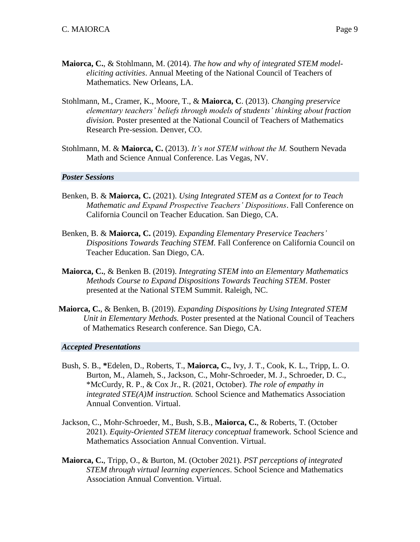- **Maiorca, C.**, & Stohlmann, M. (2014). *The how and why of integrated STEM modeleliciting activities*. Annual Meeting of the National Council of Teachers of Mathematics. New Orleans, LA.
- Stohlmann, M., Cramer, K., Moore, T., & **Maiorca, C**. (2013). *Changing preservice elementary teachers' beliefs through models of students' thinking about fraction division.* Poster presented at the National Council of Teachers of Mathematics Research Pre-session. Denver, CO.
- Stohlmann, M. & **Maiorca, C.** (2013). *It's not STEM without the M.* Southern Nevada Math and Science Annual Conference. Las Vegas, NV.

#### *Poster Sessions*

- Benken, B. & **Maiorca, C.** (2021). *Using Integrated STEM as a Context for to Teach Mathematic and Expand Prospective Teachers' Dispositions*. Fall Conference on California Council on Teacher Education. San Diego, CA.
- Benken, B. & **Maiorca, C.** (2019). *Expanding Elementary Preservice Teachers' Dispositions Towards Teaching STEM.* Fall Conference on California Council on Teacher Education. San Diego, CA.
- **Maiorca, C.**, & Benken B. (2019). *Integrating STEM into an Elementary Mathematics Methods Course to Expand Dispositions Towards Teaching STEM*. Poster presented at the National STEM Summit. Raleigh, NC.
- **Maiorca, C.**, & Benken, B. (2019). *Expanding Dispositions by Using Integrated STEM Unit in Elementary Methods.* Poster presented at the National Council of Teachers of Mathematics Research conference. San Diego, CA.

#### *Accepted Presentations*

- Bush, S. B., **\***Edelen, D., Roberts, T., **Maiorca, C.**, Ivy, J. T., Cook, K. L., Tripp, L. O. Burton, M., Alameh, S., Jackson, C., Mohr-Schroeder, M. J., Schroeder, D. C., \*McCurdy, R. P., & Cox Jr., R. (2021, October). *The role of empathy in integrated STE(A)M instruction.* School Science and Mathematics Association Annual Convention. Virtual.
- Jackson, C., Mohr-Schroeder, M., Bush, S.B., **Maiorca, C.**, & Roberts, T. (October 2021). *Equity-Oriented STEM literacy conceptual* framework. School Science and Mathematics Association Annual Convention. Virtual.
- **Maiorca, C.**, Tripp, O., & Burton, M. (October 2021). *PST perceptions of integrated STEM through virtual learning experiences*. School Science and Mathematics Association Annual Convention. Virtual.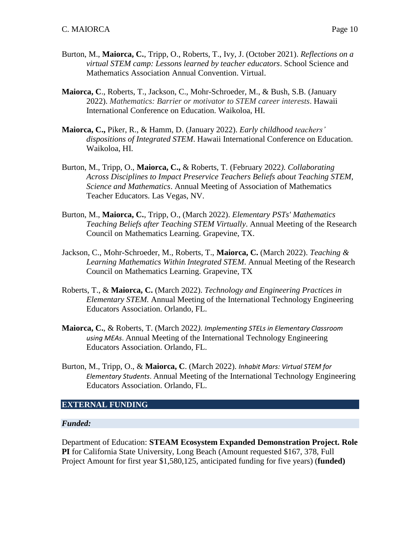- Burton, M., **Maiorca, C.**, Tripp, O., Roberts, T., Ivy, J. (October 2021). *Reflections on a virtual STEM camp: Lessons learned by teacher educators*. School Science and Mathematics Association Annual Convention. Virtual.
- **Maiorca, C**., Roberts, T., Jackson, C., Mohr-Schroeder, M., & Bush, S.B. (January 2022). *Mathematics: Barrier or motivator to STEM career interests*. Hawaii International Conference on Education. Waikoloa, HI.
- **Maiorca, C.,** Piker, R., & Hamm, D. (January 2022). *Early childhood teachers' dispositions of Integrated STEM*. Hawaii International Conference on Education. Waikoloa, HI.
- Burton, M., Tripp, O., **Maiorca, C.,** & Roberts, T. (February 2022*). Collaborating Across Disciplines to Impact Preservice Teachers Beliefs about Teaching STEM, Science and Mathematics*. Annual Meeting of Association of Mathematics Teacher Educators. Las Vegas, NV.
- Burton, M., **Maiorca, C.**, Tripp, O., (March 2022). *Elementary PSTs' Mathematics Teaching Beliefs after Teaching STEM Virtually*. Annual Meeting of the Research Council on Mathematics Learning. Grapevine, TX.
- Jackson, C., Mohr-Schroeder, M., Roberts, T., **Maiorca, C.** (March 2022). *Teaching & Learning Mathematics Within Integrated STEM*. Annual Meeting of the Research Council on Mathematics Learning. Grapevine, TX
- Roberts, T., & **Maiorca, C.** (March 2022). *Technology and Engineering Practices in Elementary STEM.* Annual Meeting of the International Technology Engineering Educators Association. Orlando, FL.
- **Maiorca, C.**, & Roberts, T. (March 2022*). Implementing STELs in Elementary Classroom using MEAs*. Annual Meeting of the International Technology Engineering Educators Association. Orlando, FL.
- Burton, M., Tripp, O., & **Maiorca, C**. (March 2022). *Inhabit Mars: Virtual STEM for Elementary Students*. Annual Meeting of the International Technology Engineering Educators Association. Orlando, FL.

#### **EXTERNAL FUNDING**

#### *Funded:*

Department of Education: **STEAM Ecosystem Expanded Demonstration Project. Role PI** for California State University, Long Beach (Amount requested \$167, 378, Full Project Amount for first year \$1,580,125, anticipated funding for five years) (**funded)**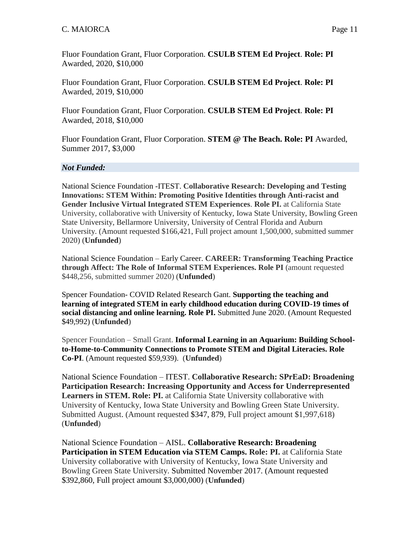Fluor Foundation Grant, Fluor Corporation. **CSULB STEM Ed Project**. **Role: PI**  Awarded, 2020, \$10,000

Fluor Foundation Grant, Fluor Corporation. **CSULB STEM Ed Project**. **Role: PI**  Awarded, 2019, \$10,000

Fluor Foundation Grant, Fluor Corporation. **CSULB STEM Ed Project**. **Role: PI**  Awarded, 2018, \$10,000

Fluor Foundation Grant, Fluor Corporation. **STEM @ The Beach. Role: PI** Awarded, Summer 2017, \$3,000

#### *Not Funded:*

National Science Foundation -ITEST. **Collaborative Research: Developing and Testing Innovations: STEM Within: Promoting Positive Identities through Anti-racist and Gender Inclusive Virtual Integrated STEM Experiences**. **Role PI.** at California State University, collaborative with University of Kentucky, Iowa State University, Bowling Green State University, Bellarmore University, University of Central Florida and Auburn University. (Amount requested \$166,421, Full project amount 1,500,000, submitted summer 2020) (**Unfunded**)

National Science Foundation – Early Career. **CAREER: Transforming Teaching Practice through Affect: The Role of Informal STEM Experiences. Role PI** (amount requested \$448,256, submitted summer 2020) (**Unfunded**)

Spencer Foundation- COVID Related Research Gant. **Supporting the teaching and learning of integrated STEM in early childhood education during COVID-19 times of social distancing and online learning. Role PI.** Submitted June 2020. (Amount Requested \$49,992) (**Unfunded**)

Spencer Foundation – Small Grant. **Informal Learning in an Aquarium: Building Schoolto-Home-to-Community Connections to Promote STEM and Digital Literacies. Role Co-PI**. (Amount requested \$59,939). (**Unfunded**)

National Science Foundation – ITEST. **Collaborative Research: SPrEaD: Broadening Participation Research: Increasing Opportunity and Access for Underrepresented Learners in STEM. Role: PI.** at California State University collaborative with University of Kentucky, Iowa State University and Bowling Green State University. Submitted August. (Amount requested \$347, 879, Full project amount \$1,997,618) (**Unfunded**)

National Science Foundation – AISL. **Collaborative Research: Broadening Participation in STEM Education via STEM Camps. Role: PI.** at California State University collaborative with University of Kentucky, Iowa State University and Bowling Green State University. Submitted November 2017. (Amount requested \$392,860, Full project amount \$3,000,000) (**Unfunded**)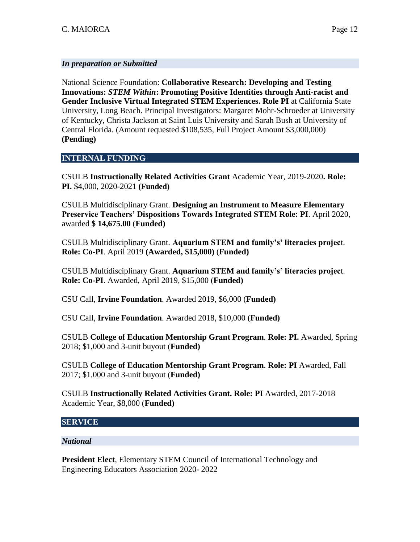#### *In preparation or Submitted*

National Science Foundation: **Collaborative Research: Developing and Testing Innovations:** *STEM Within***: Promoting Positive Identities through Anti-racist and Gender Inclusive Virtual Integrated STEM Experiences. Role PI** at California State University, Long Beach. Principal Investigators: Margaret Mohr-Schroeder at University of Kentucky, Christa Jackson at Saint Luis University and Sarah Bush at University of Central Florida. (Amount requested \$108,535, Full Project Amount \$3,000,000) **(Pending)**

#### **INTERNAL FUNDING**

CSULB **Instructionally Related Activities Grant** Academic Year, 2019-2020**. Role: PI.** \$4,000, 2020-2021 **(Funded)**

CSULB Multidisciplinary Grant. **Designing an Instrument to Measure Elementary Preservice Teachers' Dispositions Towards Integrated STEM Role: PI**. April 2020, awarded **\$ 14,675.00** (**Funded)**

CSULB Multidisciplinary Grant. **Aquarium STEM and family's' literacies projec**t. **Role: Co-PI**. April 2019 **(Awarded, \$15,000)** (**Funded)**

CSULB Multidisciplinary Grant. **Aquarium STEM and family's' literacies projec**t. **Role: Co-PI**. Awarded, April 2019, \$15,000 (**Funded)**

CSU Call, **Irvine Foundation**. Awarded 2019, \$6,000 (**Funded)**

CSU Call, **Irvine Foundation**. Awarded 2018, \$10,000 (**Funded)**

CSULB **College of Education Mentorship Grant Program**. **Role: PI.** Awarded, Spring 2018; \$1,000 and 3-unit buyout (**Funded)**

CSULB **College of Education Mentorship Grant Program**. **Role: PI** Awarded, Fall 2017; \$1,000 and 3-unit buyout (**Funded)**

CSULB **Instructionally Related Activities Grant. Role: PI** Awarded, 2017-2018 Academic Year, \$8,000 (**Funded)**

#### **SERVICE**

#### *National*

**President Elect**, Elementary STEM Council of International Technology and Engineering Educators Association 2020- 2022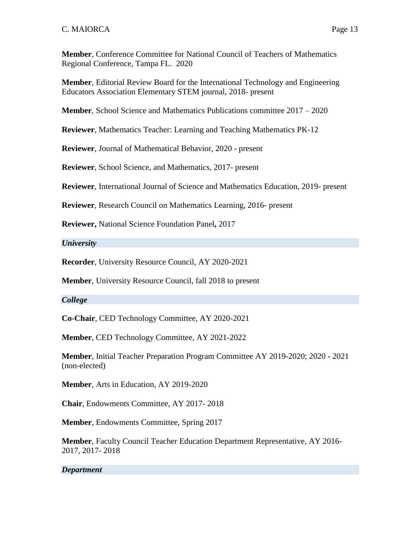**Member**, Conference Committee for National Council of Teachers of Mathematics Regional Conference, Tampa FL. 2020

**Member**, Editorial Review Board for the International Technology and Engineering Educators Association Elementary STEM journal, 2018- present

**Member**, School Science and Mathematics Publications committee 2017 – 2020

**Reviewer**, Mathematics Teacher: Learning and Teaching Mathematics PK-12

**Reviewer**, Journal of Mathematical Behavior, 2020 - present

**Reviewer**, School Science, and Mathematics, 2017- present

**Reviewer**, International Journal of Science and Mathematics Education, 2019- present

**Reviewer**, Research Council on Mathematics Learning, 2016- present

**Reviewer,** National Science Foundation Panel**,** 2017

*University*

**Recorder**, University Resource Council, AY 2020-2021

**Member**, University Resource Council, fall 2018 to present

# *College*

**Co-Chair**, CED Technology Committee, AY 2020-2021

**Member**, CED Technology Committee, AY 2021-2022

**Member**, Initial Teacher Preparation Program Committee AY 2019-2020; 2020 - 2021 (non-elected)

**Member**, Arts in Education, AY 2019-2020

**Chair**, Endowments Committee, AY 2017- 2018

**Member**, Endowments Committee, Spring 2017

**Member**, Faculty Council Teacher Education Department Representative, AY 2016- 2017, 2017- 2018

# *Department*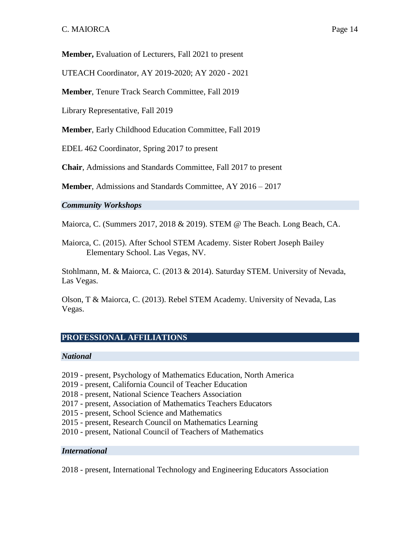**Member,** Evaluation of Lecturers, Fall 2021 to present

UTEACH Coordinator, AY 2019-2020; AY 2020 - 2021

**Member**, Tenure Track Search Committee, Fall 2019

Library Representative, Fall 2019

**Member**, Early Childhood Education Committee, Fall 2019

EDEL 462 Coordinator, Spring 2017 to present

**Chair**, Admissions and Standards Committee, Fall 2017 to present

**Member**, Admissions and Standards Committee, AY 2016 – 2017

#### *Community Workshops*

Maiorca, C. (Summers 2017, 2018 & 2019). STEM @ The Beach. Long Beach, CA.

Maiorca, C. (2015). After School STEM Academy. Sister Robert Joseph Bailey Elementary School. Las Vegas, NV.

Stohlmann, M. & Maiorca, C. (2013 & 2014). Saturday STEM. University of Nevada, Las Vegas.

Olson, T & Maiorca, C. (2013). Rebel STEM Academy. University of Nevada, Las Vegas.

#### **PROFESSIONAL AFFILIATIONS**

#### *National*

- 2019 present, Psychology of Mathematics Education, North America
- 2019 present, California Council of Teacher Education
- 2018 present, National Science Teachers Association
- 2017 present, Association of Mathematics Teachers Educators
- 2015 present, School Science and Mathematics
- 2015 present, Research Council on Mathematics Learning
- 2010 present, National Council of Teachers of Mathematics

#### *International*

2018 - present, International Technology and Engineering Educators Association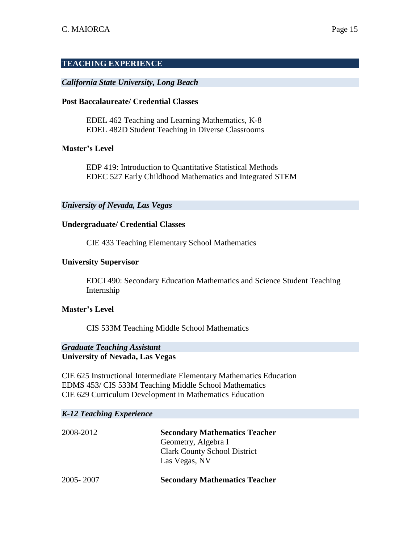#### **TEACHING EXPERIENCE**

#### *California State University, Long Beach*

#### **Post Baccalaureate/ Credential Classes**

EDEL 462 Teaching and Learning Mathematics, K-8 EDEL 482D Student Teaching in Diverse Classrooms

#### **Master's Level**

EDP 419: Introduction to Quantitative Statistical Methods EDEC 527 Early Childhood Mathematics and Integrated STEM

#### *University of Nevada, Las Vegas*

#### **Undergraduate/ Credential Classes**

CIE 433 Teaching Elementary School Mathematics

#### **University Supervisor**

EDCI 490: Secondary Education Mathematics and Science Student Teaching Internship

#### **Master's Level**

CIS 533M Teaching Middle School Mathematics

# *Graduate Teaching Assistant*

**University of Nevada, Las Vegas**

CIE 625 Instructional Intermediate Elementary Mathematics Education EDMS 453/ CIS 533M Teaching Middle School Mathematics CIE 629 Curriculum Development in Mathematics Education

#### *K-12 Teaching Experience*

| 2008-2012 | <b>Secondary Mathematics Teacher</b> |
|-----------|--------------------------------------|
|           | Geometry, Algebra I                  |
|           | <b>Clark County School District</b>  |
|           | Las Vegas, NV                        |
| 2005-2007 | <b>Secondary Mathematics Teacher</b> |